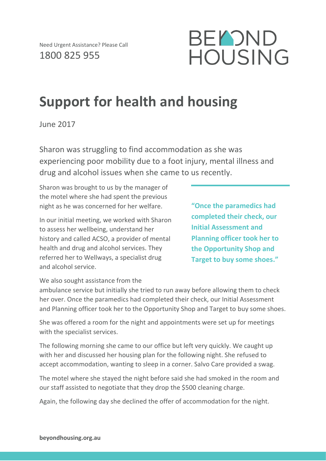

## **Support for health and housing**

June 2017

Sharon was struggling to find accommodation as she was experiencing poor mobility due to a foot injury, mental illness and drug and alcohol issues when she came to us recently.

Sharon was brought to us by the manager of the motel where she had spent the previous night as he was concerned for her welfare.

In our initial meeting, we worked with Sharon to assess her wellbeing, understand her history and called ACSO, a provider of mental health and drug and alcohol services. They referred her to Wellways, a specialist drug and alcohol service.

**"Once the paramedics had completed their check, our Initial Assessment and Planning officer took her to the Opportunity Shop and Target to buy some shoes."**

We also sought assistance from the

ambulance service but initially she tried to run away before allowing them to check her over. Once the paramedics had completed their check, our Initial Assessment and Planning officer took her to the Opportunity Shop and Target to buy some shoes.

She was offered a room for the night and appointments were set up for meetings with the specialist services.

The following morning she came to our office but left very quickly. We caught up with her and discussed her housing plan for the following night. She refused to accept accommodation, wanting to sleep in a corner. Salvo Care provided a swag.

The motel where she stayed the night before said she had smoked in the room and our staff assisted to negotiate that they drop the \$500 cleaning charge.

Again, the following day she declined the offer of accommodation for the night.